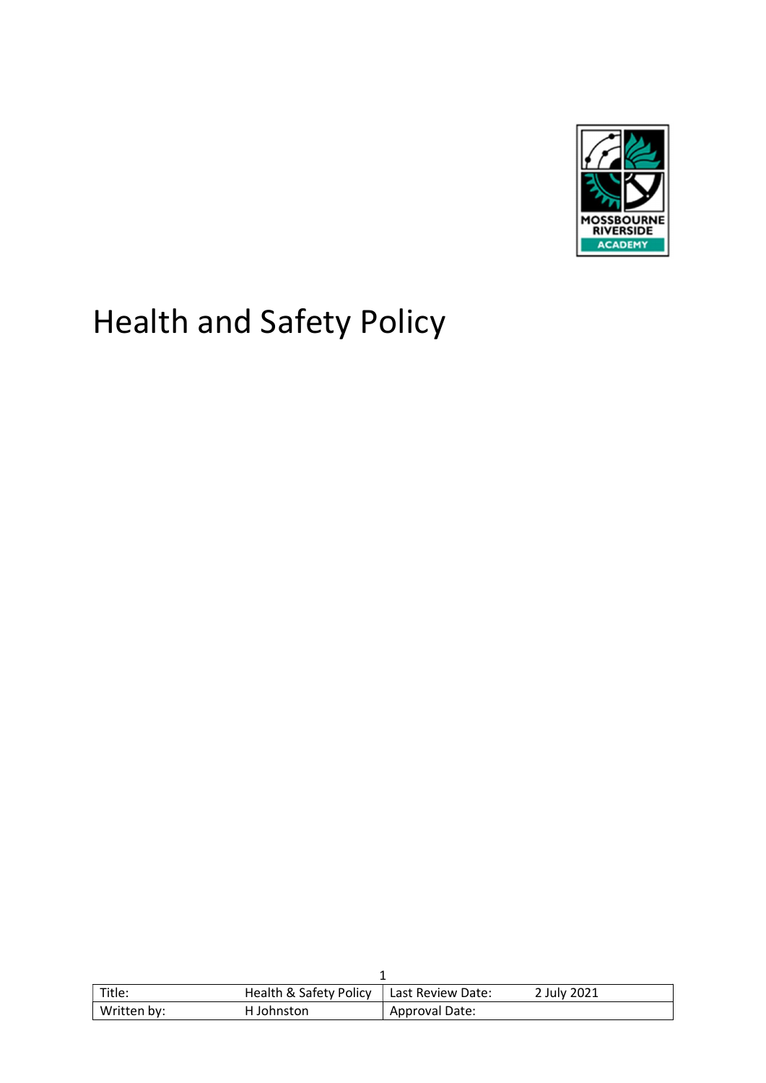

# Health and Safety Policy

| Title:      | Health & Safety Policy | Last Review Date: | 2 July 2021 |
|-------------|------------------------|-------------------|-------------|
| Written by: | H Johnston             | Approval Date:    |             |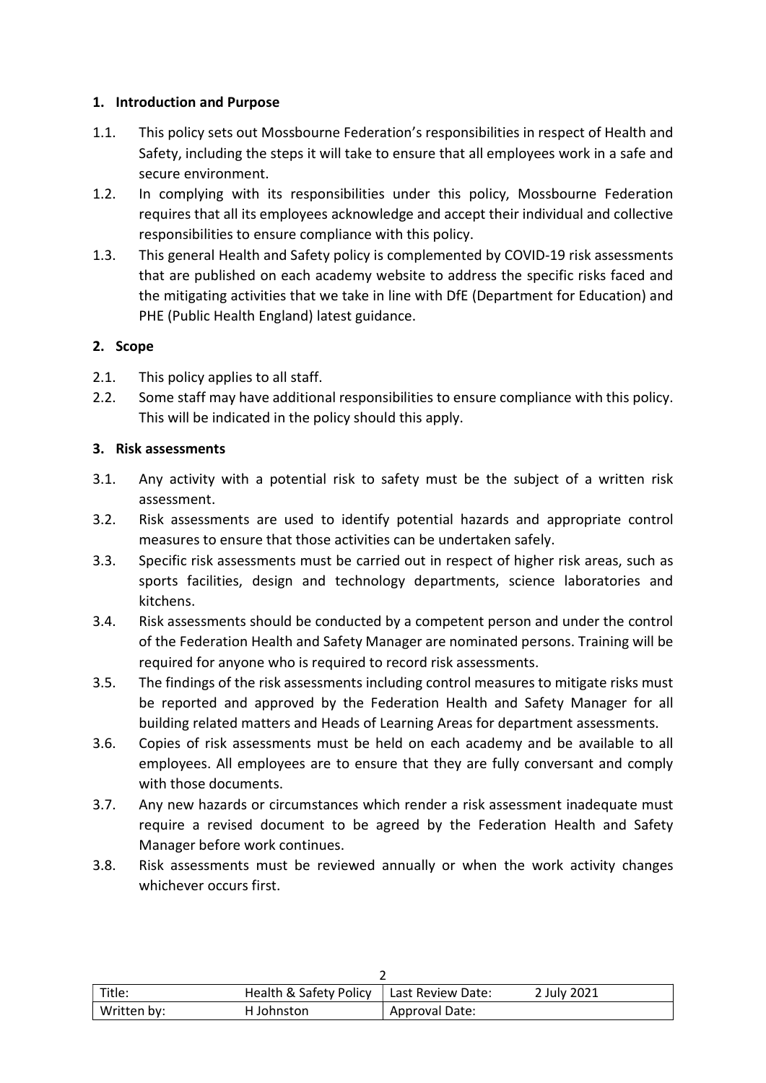#### 1. Introduction and Purpose

- 1.1. This policy sets out Mossbourne Federation's responsibilities in respect of Health and Safety, including the steps it will take to ensure that all employees work in a safe and secure environment.
- 1.2. In complying with its responsibilities under this policy, Mossbourne Federation requires that all its employees acknowledge and accept their individual and collective responsibilities to ensure compliance with this policy.
- 1.3. This general Health and Safety policy is complemented by COVID-19 risk assessments that are published on each academy website to address the specific risks faced and the mitigating activities that we take in line with DfE (Department for Education) and PHE (Public Health England) latest guidance.

#### 2. Scope

- 2.1. This policy applies to all staff.
- 2.2. Some staff may have additional responsibilities to ensure compliance with this policy. This will be indicated in the policy should this apply.

#### 3. Risk assessments

- 3.1. Any activity with a potential risk to safety must be the subject of a written risk assessment.
- 3.2. Risk assessments are used to identify potential hazards and appropriate control measures to ensure that those activities can be undertaken safely.
- 3.3. Specific risk assessments must be carried out in respect of higher risk areas, such as sports facilities, design and technology departments, science laboratories and kitchens.
- 3.4. Risk assessments should be conducted by a competent person and under the control of the Federation Health and Safety Manager are nominated persons. Training will be required for anyone who is required to record risk assessments.
- 3.5. The findings of the risk assessments including control measures to mitigate risks must be reported and approved by the Federation Health and Safety Manager for all building related matters and Heads of Learning Areas for department assessments.
- 3.6. Copies of risk assessments must be held on each academy and be available to all employees. All employees are to ensure that they are fully conversant and comply with those documents.
- 3.7. Any new hazards or circumstances which render a risk assessment inadequate must require a revised document to be agreed by the Federation Health and Safety Manager before work continues.
- 3.8. Risk assessments must be reviewed annually or when the work activity changes whichever occurs first.

| Title:      | Health & Safety Policy | Last Review Date: | 2 July 2021 |  |
|-------------|------------------------|-------------------|-------------|--|
| Written by: | H Johnston             | Approval Date:    |             |  |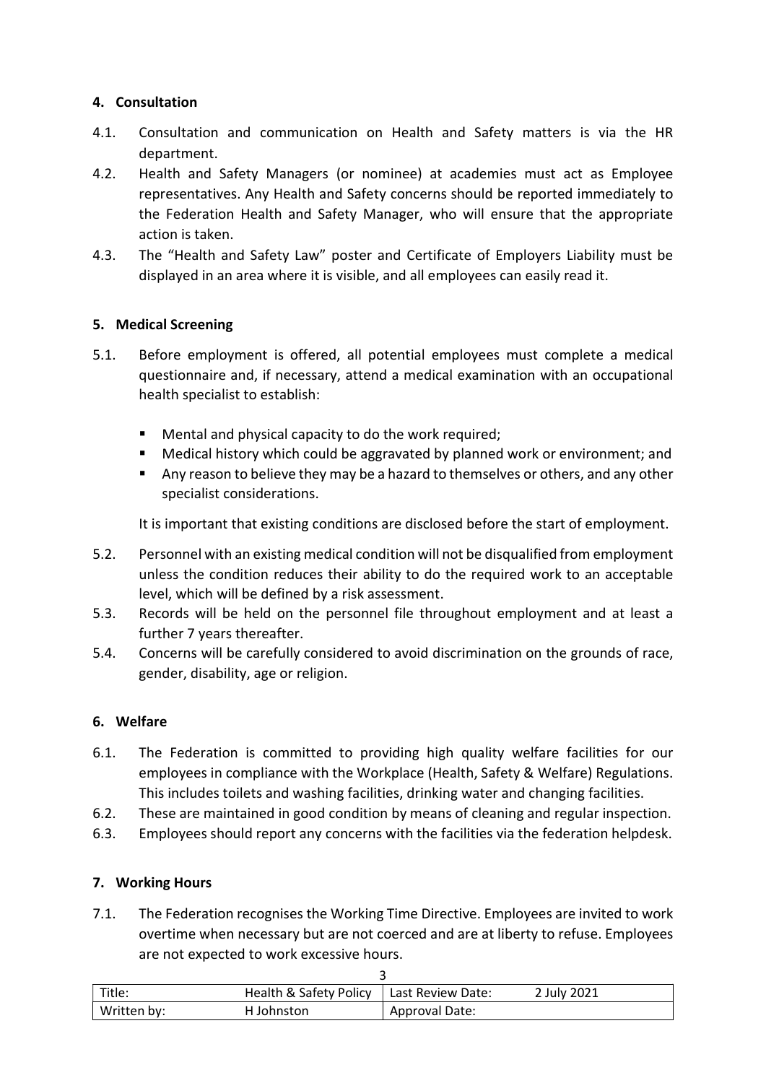## 4. Consultation

- 4.1. Consultation and communication on Health and Safety matters is via the HR department.
- 4.2. Health and Safety Managers (or nominee) at academies must act as Employee representatives. Any Health and Safety concerns should be reported immediately to the Federation Health and Safety Manager, who will ensure that the appropriate action is taken.
- 4.3. The "Health and Safety Law" poster and Certificate of Employers Liability must be displayed in an area where it is visible, and all employees can easily read it.

#### 5. Medical Screening

- 5.1. Before employment is offered, all potential employees must complete a medical questionnaire and, if necessary, attend a medical examination with an occupational health specialist to establish:
	- Mental and physical capacity to do the work required;
	- Medical history which could be aggravated by planned work or environment; and
	- Any reason to believe they may be a hazard to themselves or others, and any other specialist considerations.

It is important that existing conditions are disclosed before the start of employment.

- 5.2. Personnel with an existing medical condition will not be disqualified from employment unless the condition reduces their ability to do the required work to an acceptable level, which will be defined by a risk assessment.
- 5.3. Records will be held on the personnel file throughout employment and at least a further 7 years thereafter.
- 5.4. Concerns will be carefully considered to avoid discrimination on the grounds of race, gender, disability, age or religion.

#### 6. Welfare

- 6.1. The Federation is committed to providing high quality welfare facilities for our employees in compliance with the Workplace (Health, Safety & Welfare) Regulations. This includes toilets and washing facilities, drinking water and changing facilities.
- 6.2. These are maintained in good condition by means of cleaning and regular inspection.
- 6.3. Employees should report any concerns with the facilities via the federation helpdesk.

#### 7. Working Hours

7.1. The Federation recognises the Working Time Directive. Employees are invited to work overtime when necessary but are not coerced and are at liberty to refuse. Employees are not expected to work excessive hours.

| Title:      | Health & Safety Policy | Last Review Date: | 2 July 2021 |  |
|-------------|------------------------|-------------------|-------------|--|
| Written by: | H Johnston             | Approval Date:    |             |  |

 $\mathbf{\overline{3}}$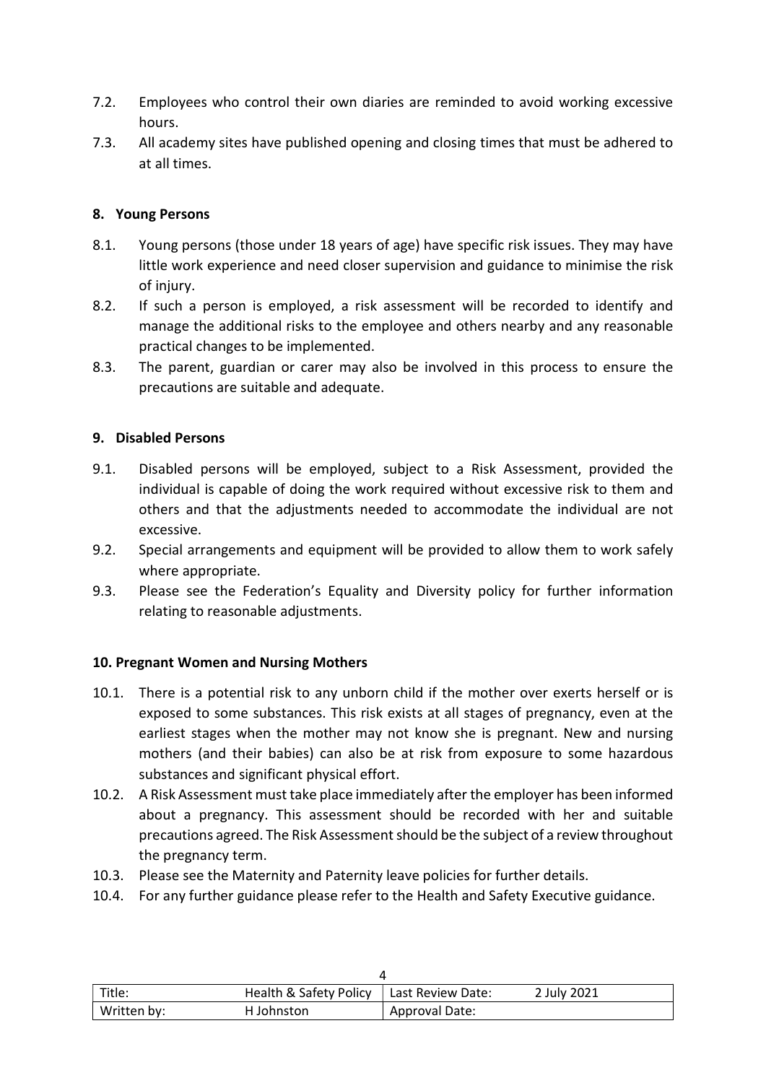- 7.2. Employees who control their own diaries are reminded to avoid working excessive hours.
- 7.3. All academy sites have published opening and closing times that must be adhered to at all times.

#### 8. Young Persons

- 8.1. Young persons (those under 18 years of age) have specific risk issues. They may have little work experience and need closer supervision and guidance to minimise the risk of injury.
- 8.2. If such a person is employed, a risk assessment will be recorded to identify and manage the additional risks to the employee and others nearby and any reasonable practical changes to be implemented.
- 8.3. The parent, guardian or carer may also be involved in this process to ensure the precautions are suitable and adequate.

#### 9. Disabled Persons

- 9.1. Disabled persons will be employed, subject to a Risk Assessment, provided the individual is capable of doing the work required without excessive risk to them and others and that the adjustments needed to accommodate the individual are not excessive.
- 9.2. Special arrangements and equipment will be provided to allow them to work safely where appropriate.
- 9.3. Please see the Federation's Equality and Diversity policy for further information relating to reasonable adjustments.

#### 10. Pregnant Women and Nursing Mothers

- 10.1. There is a potential risk to any unborn child if the mother over exerts herself or is exposed to some substances. This risk exists at all stages of pregnancy, even at the earliest stages when the mother may not know she is pregnant. New and nursing mothers (and their babies) can also be at risk from exposure to some hazardous substances and significant physical effort.
- 10.2. A Risk Assessment must take place immediately after the employer has been informed about a pregnancy. This assessment should be recorded with her and suitable precautions agreed. The Risk Assessment should be the subject of a review throughout the pregnancy term.
- 10.3. Please see the Maternity and Paternity leave policies for further details.
- 10.4. For any further guidance please refer to the Health and Safety Executive guidance.

| Title:      | Health & Safety Policy | Last Review Date: | 2 July 2021 |
|-------------|------------------------|-------------------|-------------|
| Written by: | H Johnston             | Approval Date:    |             |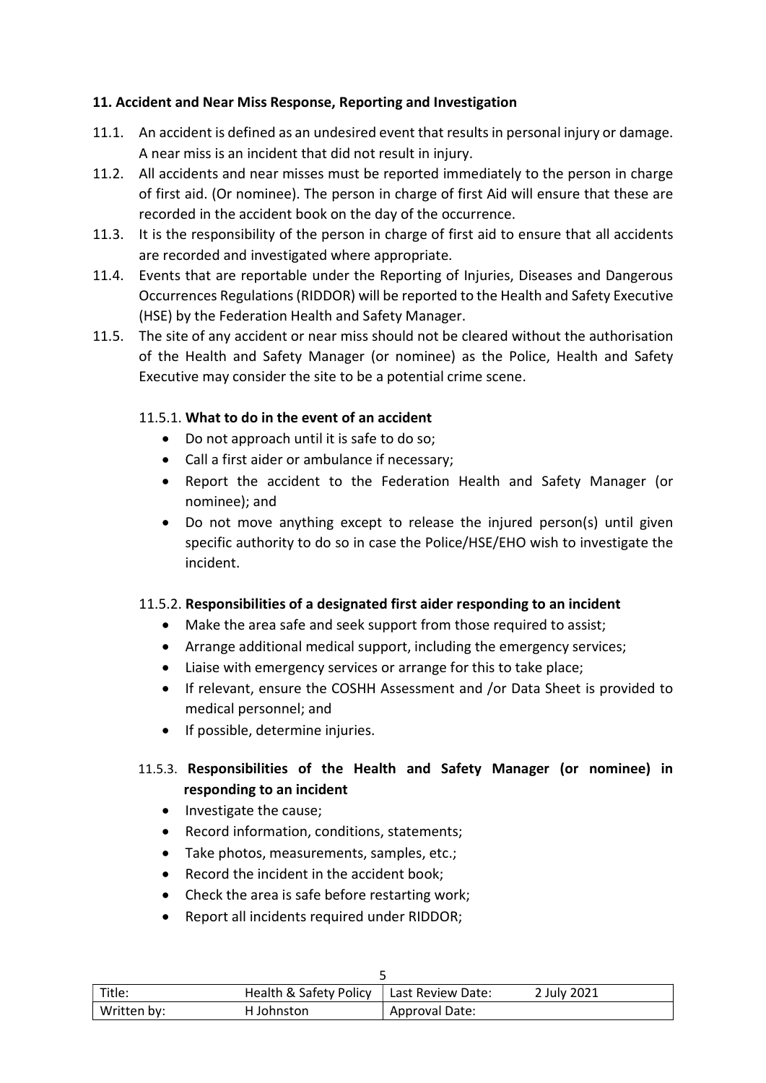### 11. Accident and Near Miss Response, Reporting and Investigation

- 11.1. An accident is defined as an undesired event that results in personal injury or damage. A near miss is an incident that did not result in injury.
- 11.2. All accidents and near misses must be reported immediately to the person in charge of first aid. (Or nominee). The person in charge of first Aid will ensure that these are recorded in the accident book on the day of the occurrence.
- 11.3. It is the responsibility of the person in charge of first aid to ensure that all accidents are recorded and investigated where appropriate.
- 11.4. Events that are reportable under the Reporting of Injuries, Diseases and Dangerous Occurrences Regulations (RIDDOR) will be reported to the Health and Safety Executive (HSE) by the Federation Health and Safety Manager.
- 11.5. The site of any accident or near miss should not be cleared without the authorisation of the Health and Safety Manager (or nominee) as the Police, Health and Safety Executive may consider the site to be a potential crime scene.

## 11.5.1. What to do in the event of an accident

- Do not approach until it is safe to do so;
- Call a first aider or ambulance if necessary;
- Report the accident to the Federation Health and Safety Manager (or nominee); and
- Do not move anything except to release the injured person(s) until given specific authority to do so in case the Police/HSE/EHO wish to investigate the incident.

#### 11.5.2. Responsibilities of a designated first aider responding to an incident

- Make the area safe and seek support from those required to assist;
- Arrange additional medical support, including the emergency services;
- Liaise with emergency services or arrange for this to take place;
- If relevant, ensure the COSHH Assessment and /or Data Sheet is provided to medical personnel; and
- If possible, determine injuries.

## 11.5.3. Responsibilities of the Health and Safety Manager (or nominee) in responding to an incident

- Investigate the cause;
- Record information, conditions, statements;
- Take photos, measurements, samples, etc.;
- Record the incident in the accident book;
- Check the area is safe before restarting work:
- Report all incidents required under RIDDOR;

| Title:      | Health & Safety Policy   Last Review Date: |                | 2 July 2021 |
|-------------|--------------------------------------------|----------------|-------------|
| Written by: | H Johnston                                 | Approval Date: |             |

| I<br>×<br>۰. |  |
|--------------|--|
|              |  |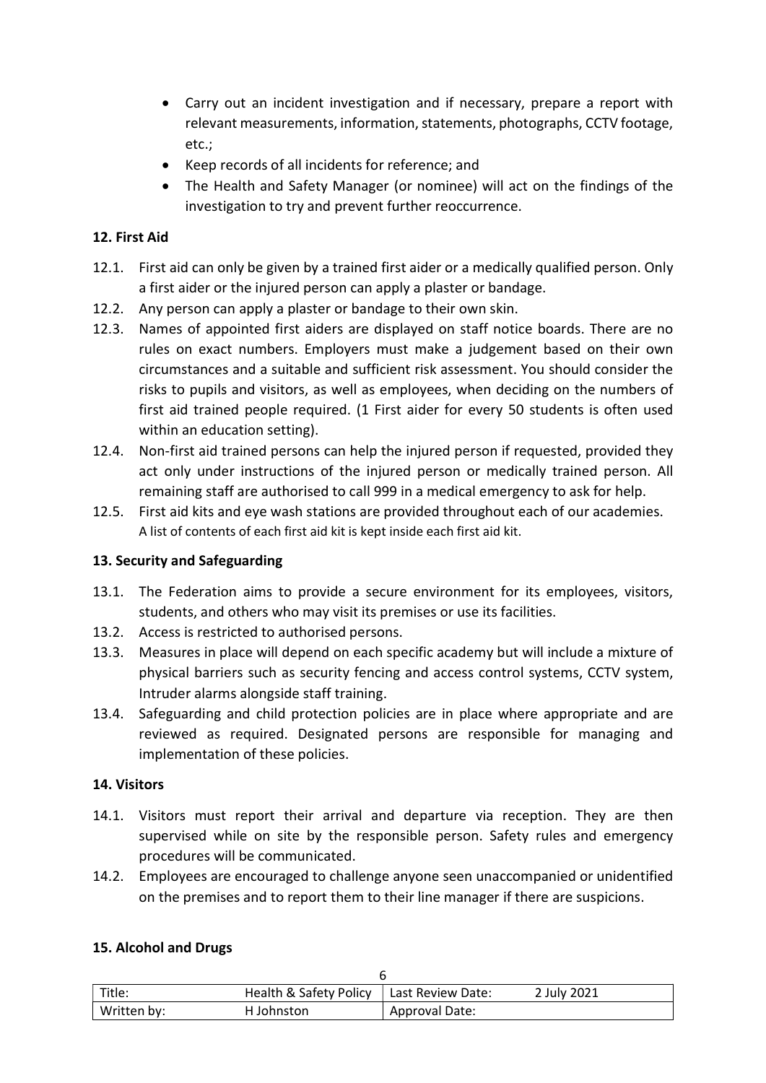- Carry out an incident investigation and if necessary, prepare a report with relevant measurements, information, statements, photographs, CCTV footage, etc.;
- Keep records of all incidents for reference; and
- The Health and Safety Manager (or nominee) will act on the findings of the investigation to try and prevent further reoccurrence.

#### 12. First Aid

- 12.1. First aid can only be given by a trained first aider or a medically qualified person. Only a first aider or the injured person can apply a plaster or bandage.
- 12.2. Any person can apply a plaster or bandage to their own skin.
- 12.3. Names of appointed first aiders are displayed on staff notice boards. There are no rules on exact numbers. Employers must make a judgement based on their own circumstances and a suitable and sufficient risk assessment. You should consider the risks to pupils and visitors, as well as employees, when deciding on the numbers of first aid trained people required. (1 First aider for every 50 students is often used within an education setting).
- 12.4. Non-first aid trained persons can help the injured person if requested, provided they act only under instructions of the injured person or medically trained person. All remaining staff are authorised to call 999 in a medical emergency to ask for help.
- 12.5. First aid kits and eye wash stations are provided throughout each of our academies. A list of contents of each first aid kit is kept inside each first aid kit.

#### 13. Security and Safeguarding

- 13.1. The Federation aims to provide a secure environment for its employees, visitors, students, and others who may visit its premises or use its facilities.
- 13.2. Access is restricted to authorised persons.
- 13.3. Measures in place will depend on each specific academy but will include a mixture of physical barriers such as security fencing and access control systems, CCTV system, Intruder alarms alongside staff training.
- 13.4. Safeguarding and child protection policies are in place where appropriate and are reviewed as required. Designated persons are responsible for managing and implementation of these policies.

#### 14. Visitors

- 14.1. Visitors must report their arrival and departure via reception. They are then supervised while on site by the responsible person. Safety rules and emergency procedures will be communicated.
- 14.2. Employees are encouraged to challenge anyone seen unaccompanied or unidentified on the premises and to report them to their line manager if there are suspicions.

#### 15. Alcohol and Drugs

| Title:      | Health & Safety Policy   Last Review Date: |                | 2 July 2021 |
|-------------|--------------------------------------------|----------------|-------------|
| Written by: | H Johnston                                 | Approval Date: |             |

 $\epsilon$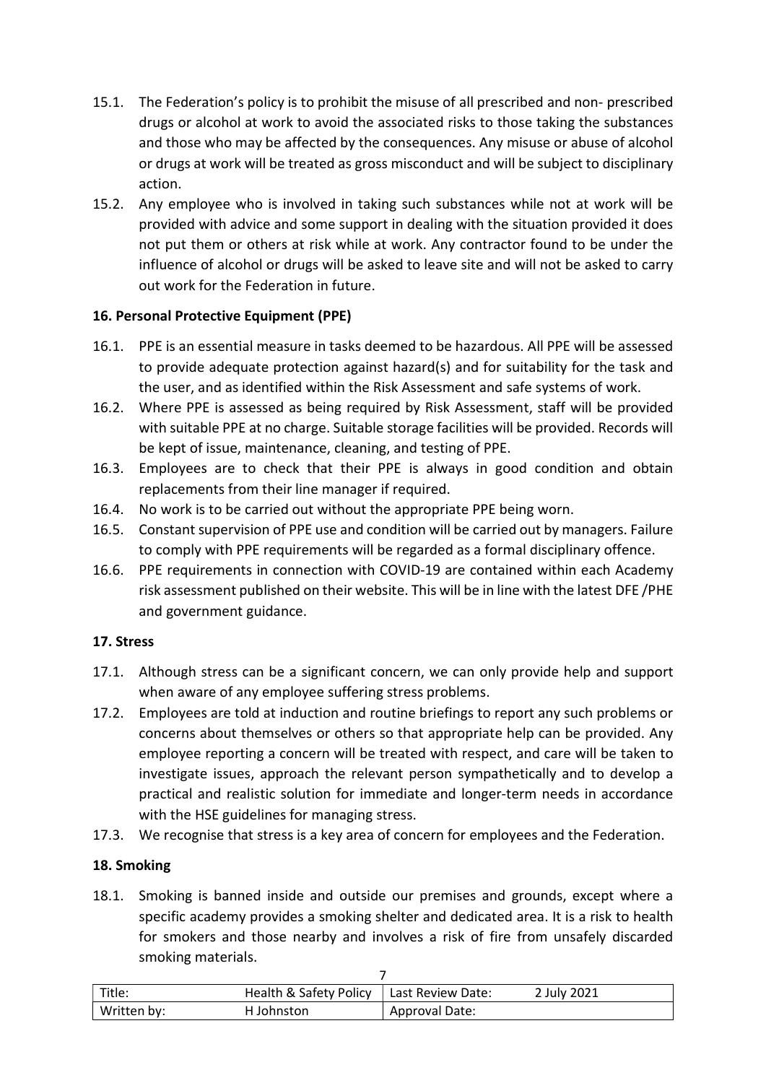- 15.1. The Federation's policy is to prohibit the misuse of all prescribed and non- prescribed drugs or alcohol at work to avoid the associated risks to those taking the substances and those who may be affected by the consequences. Any misuse or abuse of alcohol or drugs at work will be treated as gross misconduct and will be subject to disciplinary action.
- 15.2. Any employee who is involved in taking such substances while not at work will be provided with advice and some support in dealing with the situation provided it does not put them or others at risk while at work. Any contractor found to be under the influence of alcohol or drugs will be asked to leave site and will not be asked to carry out work for the Federation in future.

## 16. Personal Protective Equipment (PPE)

- 16.1. PPE is an essential measure in tasks deemed to be hazardous. All PPE will be assessed to provide adequate protection against hazard(s) and for suitability for the task and the user, and as identified within the Risk Assessment and safe systems of work.
- 16.2. Where PPE is assessed as being required by Risk Assessment, staff will be provided with suitable PPE at no charge. Suitable storage facilities will be provided. Records will be kept of issue, maintenance, cleaning, and testing of PPE.
- 16.3. Employees are to check that their PPE is always in good condition and obtain replacements from their line manager if required.
- 16.4. No work is to be carried out without the appropriate PPE being worn.
- 16.5. Constant supervision of PPE use and condition will be carried out by managers. Failure to comply with PPE requirements will be regarded as a formal disciplinary offence.
- 16.6. PPE requirements in connection with COVID-19 are contained within each Academy risk assessment published on their website. This will be in line with the latest DFE /PHE and government guidance.

#### 17. Stress

- 17.1. Although stress can be a significant concern, we can only provide help and support when aware of any employee suffering stress problems.
- 17.2. Employees are told at induction and routine briefings to report any such problems or concerns about themselves or others so that appropriate help can be provided. Any employee reporting a concern will be treated with respect, and care will be taken to investigate issues, approach the relevant person sympathetically and to develop a practical and realistic solution for immediate and longer-term needs in accordance with the HSE guidelines for managing stress.
- 17.3. We recognise that stress is a key area of concern for employees and the Federation.

#### 18. Smoking

18.1. Smoking is banned inside and outside our premises and grounds, except where a specific academy provides a smoking shelter and dedicated area. It is a risk to health for smokers and those nearby and involves a risk of fire from unsafely discarded smoking materials.

| Title:      | Health & Safety Policy | Last Review Date:     | 2 July 2021 |
|-------------|------------------------|-----------------------|-------------|
| Written by: | H Johnston             | <b>Approval Date:</b> |             |

 $\overline{ }$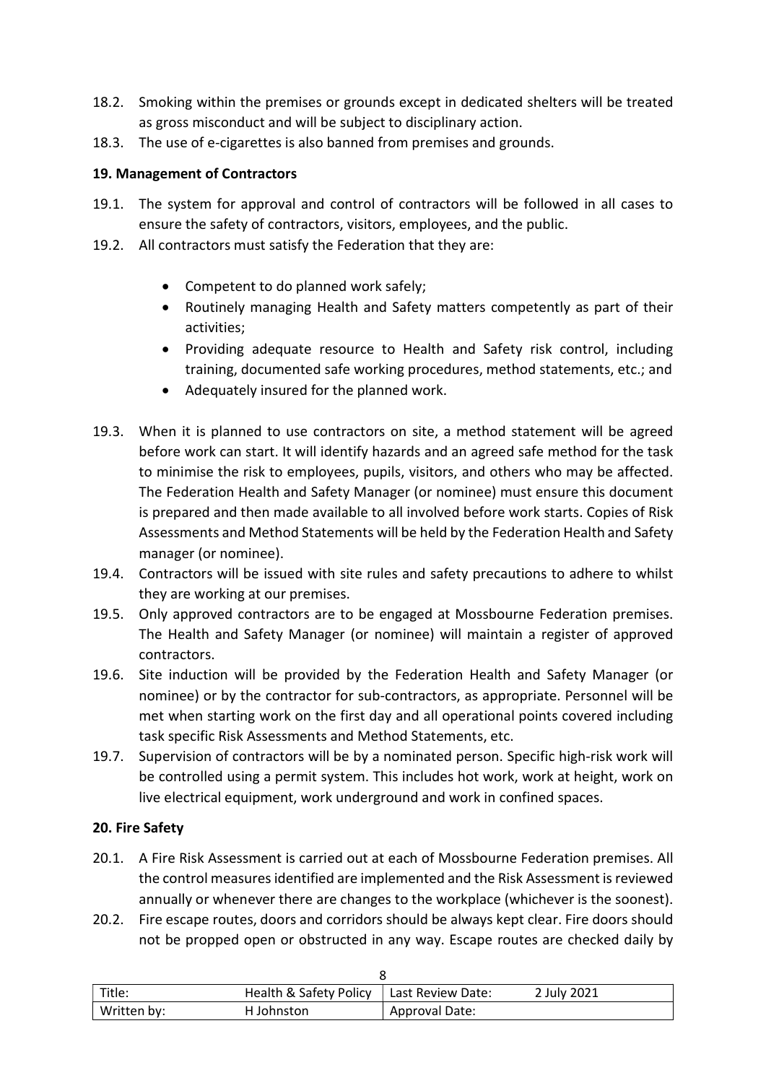- 18.2. Smoking within the premises or grounds except in dedicated shelters will be treated as gross misconduct and will be subject to disciplinary action.
- 18.3. The use of e-cigarettes is also banned from premises and grounds.

## 19. Management of Contractors

- 19.1. The system for approval and control of contractors will be followed in all cases to ensure the safety of contractors, visitors, employees, and the public.
- 19.2. All contractors must satisfy the Federation that they are:
	- Competent to do planned work safely;
	- Routinely managing Health and Safety matters competently as part of their activities;
	- Providing adequate resource to Health and Safety risk control, including training, documented safe working procedures, method statements, etc.; and
	- Adequately insured for the planned work.
- 19.3. When it is planned to use contractors on site, a method statement will be agreed before work can start. It will identify hazards and an agreed safe method for the task to minimise the risk to employees, pupils, visitors, and others who may be affected. The Federation Health and Safety Manager (or nominee) must ensure this document is prepared and then made available to all involved before work starts. Copies of Risk Assessments and Method Statements will be held by the Federation Health and Safety manager (or nominee).
- 19.4. Contractors will be issued with site rules and safety precautions to adhere to whilst they are working at our premises.
- 19.5. Only approved contractors are to be engaged at Mossbourne Federation premises. The Health and Safety Manager (or nominee) will maintain a register of approved contractors.
- 19.6. Site induction will be provided by the Federation Health and Safety Manager (or nominee) or by the contractor for sub-contractors, as appropriate. Personnel will be met when starting work on the first day and all operational points covered including task specific Risk Assessments and Method Statements, etc.
- 19.7. Supervision of contractors will be by a nominated person. Specific high-risk work will be controlled using a permit system. This includes hot work, work at height, work on live electrical equipment, work underground and work in confined spaces.

## 20. Fire Safety

- 20.1. A Fire Risk Assessment is carried out at each of Mossbourne Federation premises. All the control measures identified are implemented and the Risk Assessment is reviewed annually or whenever there are changes to the workplace (whichever is the soonest).
- 20.2. Fire escape routes, doors and corridors should be always kept clear. Fire doors should not be propped open or obstructed in any way. Escape routes are checked daily by

| Title:      | <b>Health &amp; Safety Policy</b> | l Last Review Date: | 2 July 2021 |  |
|-------------|-----------------------------------|---------------------|-------------|--|
| Written by: | H Johnston                        | Approval Date:      |             |  |

 $\sim$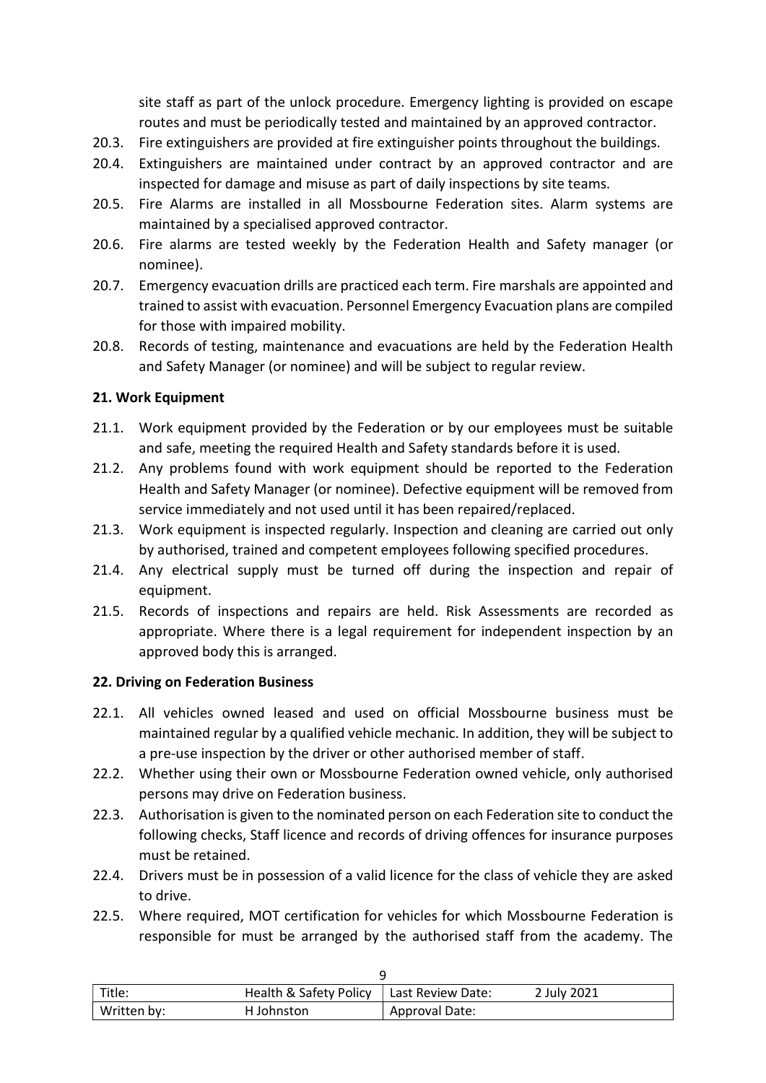site staff as part of the unlock procedure. Emergency lighting is provided on escape routes and must be periodically tested and maintained by an approved contractor.

- 20.3. Fire extinguishers are provided at fire extinguisher points throughout the buildings.
- 20.4. Extinguishers are maintained under contract by an approved contractor and are inspected for damage and misuse as part of daily inspections by site teams.
- 20.5. Fire Alarms are installed in all Mossbourne Federation sites. Alarm systems are maintained by a specialised approved contractor.
- 20.6. Fire alarms are tested weekly by the Federation Health and Safety manager (or nominee).
- 20.7. Emergency evacuation drills are practiced each term. Fire marshals are appointed and trained to assist with evacuation. Personnel Emergency Evacuation plans are compiled for those with impaired mobility.
- 20.8. Records of testing, maintenance and evacuations are held by the Federation Health and Safety Manager (or nominee) and will be subject to regular review.

#### 21. Work Equipment

- 21.1. Work equipment provided by the Federation or by our employees must be suitable and safe, meeting the required Health and Safety standards before it is used.
- 21.2. Any problems found with work equipment should be reported to the Federation Health and Safety Manager (or nominee). Defective equipment will be removed from service immediately and not used until it has been repaired/replaced.
- 21.3. Work equipment is inspected regularly. Inspection and cleaning are carried out only by authorised, trained and competent employees following specified procedures.
- 21.4. Any electrical supply must be turned off during the inspection and repair of equipment.
- 21.5. Records of inspections and repairs are held. Risk Assessments are recorded as appropriate. Where there is a legal requirement for independent inspection by an approved body this is arranged.

#### 22. Driving on Federation Business

- 22.1. All vehicles owned leased and used on official Mossbourne business must be maintained regular by a qualified vehicle mechanic. In addition, they will be subject to a pre-use inspection by the driver or other authorised member of staff.
- 22.2. Whether using their own or Mossbourne Federation owned vehicle, only authorised persons may drive on Federation business.
- 22.3. Authorisation is given to the nominated person on each Federation site to conduct the following checks, Staff licence and records of driving offences for insurance purposes must be retained.
- 22.4. Drivers must be in possession of a valid licence for the class of vehicle they are asked to drive.
- 22.5. Where required, MOT certification for vehicles for which Mossbourne Federation is responsible for must be arranged by the authorised staff from the academy. The

| Title:      | Health & Safety Policy | Last Review Date: | 2 July 2021 |  |
|-------------|------------------------|-------------------|-------------|--|
| Written by: | H Johnston             | Approval Date:    |             |  |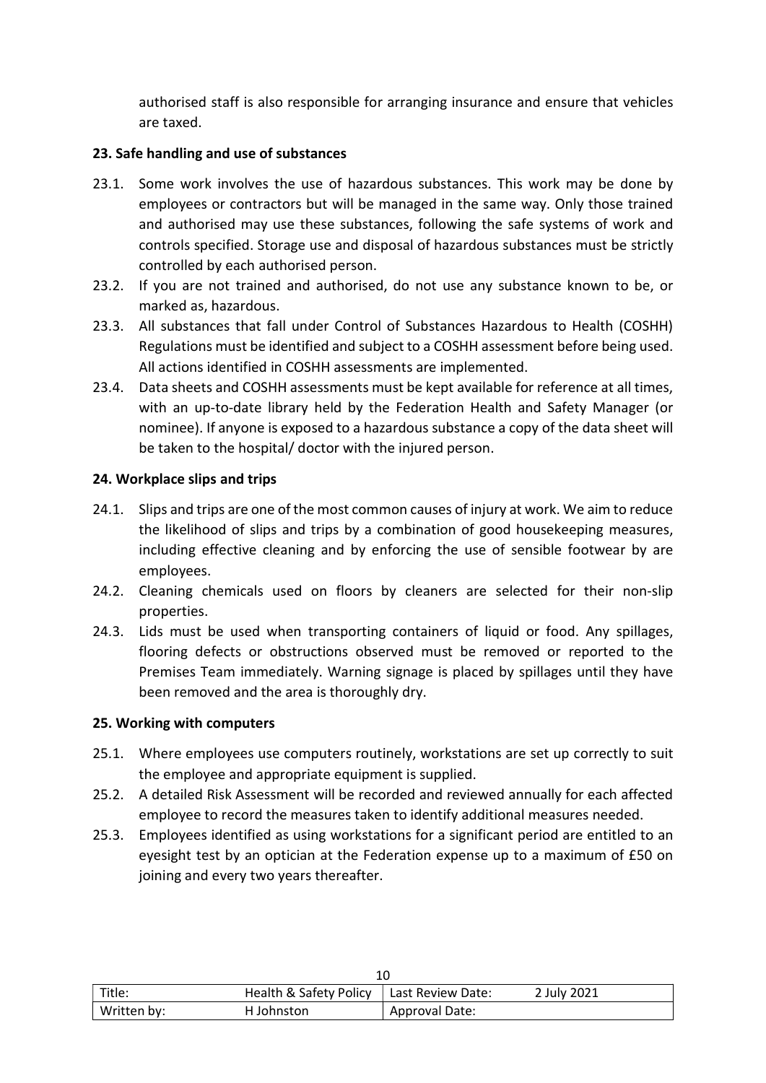authorised staff is also responsible for arranging insurance and ensure that vehicles are taxed.

#### 23. Safe handling and use of substances

- 23.1. Some work involves the use of hazardous substances. This work may be done by employees or contractors but will be managed in the same way. Only those trained and authorised may use these substances, following the safe systems of work and controls specified. Storage use and disposal of hazardous substances must be strictly controlled by each authorised person.
- 23.2. If you are not trained and authorised, do not use any substance known to be, or marked as, hazardous.
- 23.3. All substances that fall under Control of Substances Hazardous to Health (COSHH) Regulations must be identified and subject to a COSHH assessment before being used. All actions identified in COSHH assessments are implemented.
- 23.4. Data sheets and COSHH assessments must be kept available for reference at all times, with an up-to-date library held by the Federation Health and Safety Manager (or nominee). If anyone is exposed to a hazardous substance a copy of the data sheet will be taken to the hospital/ doctor with the injured person.

## 24. Workplace slips and trips

- 24.1. Slips and trips are one of the most common causes of injury at work. We aim to reduce the likelihood of slips and trips by a combination of good housekeeping measures, including effective cleaning and by enforcing the use of sensible footwear by are employees.
- 24.2. Cleaning chemicals used on floors by cleaners are selected for their non-slip properties.
- 24.3. Lids must be used when transporting containers of liquid or food. Any spillages, flooring defects or obstructions observed must be removed or reported to the Premises Team immediately. Warning signage is placed by spillages until they have been removed and the area is thoroughly dry.

#### 25. Working with computers

- 25.1. Where employees use computers routinely, workstations are set up correctly to suit the employee and appropriate equipment is supplied.
- 25.2. A detailed Risk Assessment will be recorded and reviewed annually for each affected employee to record the measures taken to identify additional measures needed.
- 25.3. Employees identified as using workstations for a significant period are entitled to an eyesight test by an optician at the Federation expense up to a maximum of £50 on joining and every two years thereafter.

| Title:      | Health & Safety Policy   Last Review Date: |                | 2 July 2021 |  |
|-------------|--------------------------------------------|----------------|-------------|--|
| Written by: | H Johnston                                 | Approval Date: |             |  |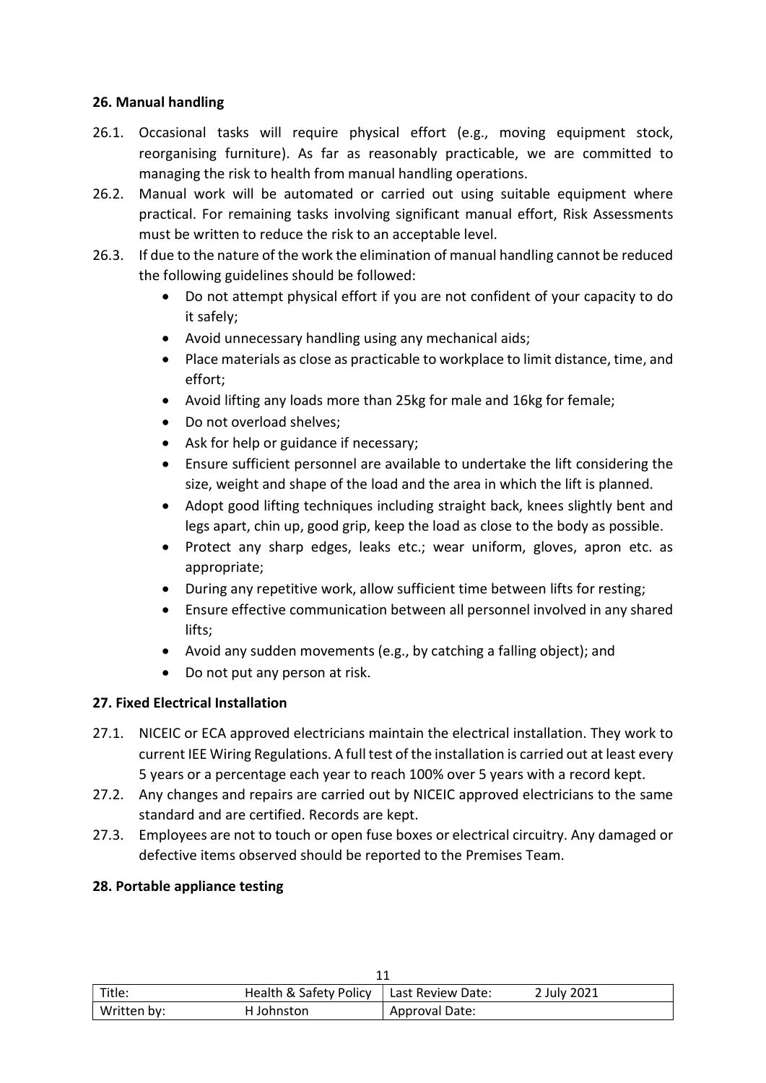## 26. Manual handling

- 26.1. Occasional tasks will require physical effort (e.g., moving equipment stock, reorganising furniture). As far as reasonably practicable, we are committed to managing the risk to health from manual handling operations.
- 26.2. Manual work will be automated or carried out using suitable equipment where practical. For remaining tasks involving significant manual effort, Risk Assessments must be written to reduce the risk to an acceptable level.
- 26.3. If due to the nature of the work the elimination of manual handling cannot be reduced the following guidelines should be followed:
	- Do not attempt physical effort if you are not confident of your capacity to do it safely;
	- Avoid unnecessary handling using any mechanical aids;
	- Place materials as close as practicable to workplace to limit distance, time, and effort;
	- Avoid lifting any loads more than 25kg for male and 16kg for female;
	- Do not overload shelves;
	- Ask for help or guidance if necessary;
	- Ensure sufficient personnel are available to undertake the lift considering the size, weight and shape of the load and the area in which the lift is planned.
	- Adopt good lifting techniques including straight back, knees slightly bent and legs apart, chin up, good grip, keep the load as close to the body as possible.
	- Protect any sharp edges, leaks etc.; wear uniform, gloves, apron etc. as appropriate;
	- During any repetitive work, allow sufficient time between lifts for resting;
	- Ensure effective communication between all personnel involved in any shared lifts;
	- Avoid any sudden movements (e.g., by catching a falling object); and
	- Do not put any person at risk.

#### 27. Fixed Electrical Installation

- 27.1. NICEIC or ECA approved electricians maintain the electrical installation. They work to current IEE Wiring Regulations. A full test of the installation is carried out at least every 5 years or a percentage each year to reach 100% over 5 years with a record kept.
- 27.2. Any changes and repairs are carried out by NICEIC approved electricians to the same standard and are certified. Records are kept.
- 27.3. Employees are not to touch or open fuse boxes or electrical circuitry. Any damaged or defective items observed should be reported to the Premises Team.

#### 28. Portable appliance testing

| Title:      | Health & Safety Policy   Last Review Date: |                | 2 July 2021 |  |
|-------------|--------------------------------------------|----------------|-------------|--|
| Written by: | H Johnston                                 | Approval Date: |             |  |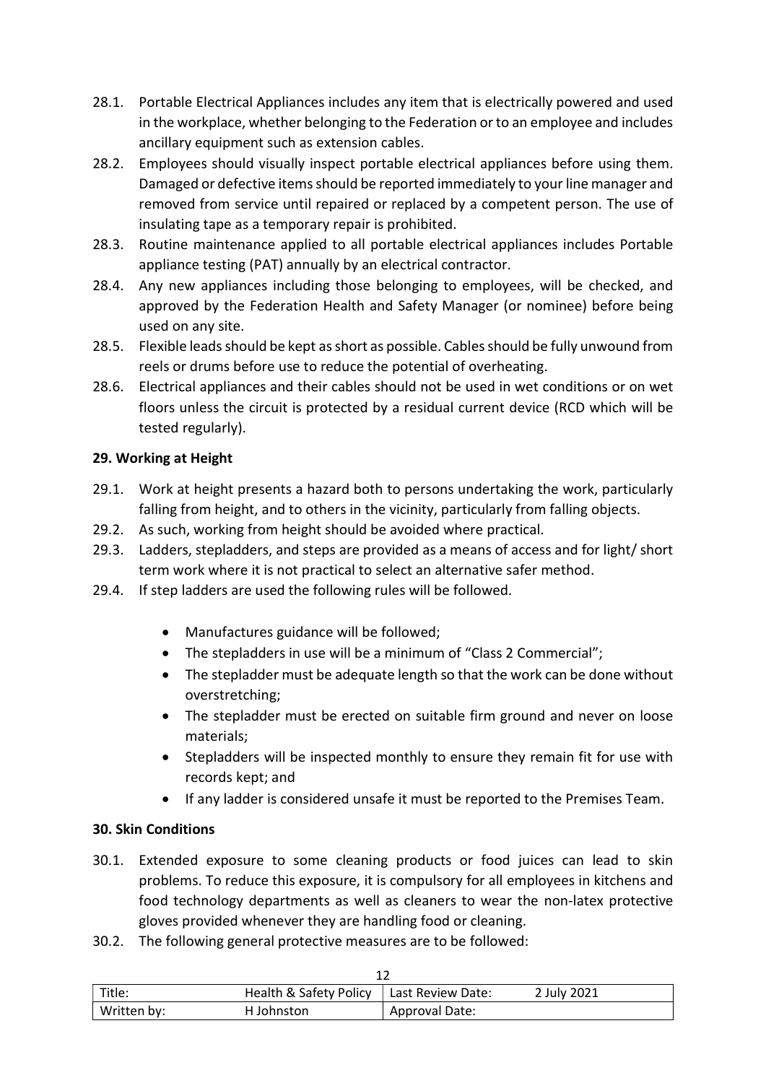- 28.1. Portable Electrical Appliances includes any item that is electrically powered and used in the workplace, whether belonging to the Federation or to an employee and includes ancillary equipment such as extension cables.
- 28.2. Employees should visually inspect portable electrical appliances before using them. Damaged or defective items should be reported immediately to your line manager and removed from service until repaired or replaced by a competent person. The use of insulating tape as a temporary repair is prohibited.
- 28.3. Routine maintenance applied to all portable electrical appliances includes Portable appliance testing (PAT) annually by an electrical contractor.
- 28.4. Any new appliances including those belonging to employees, will be checked, and approved by the Federation Health and Safety Manager (or nominee) before being used on any site.
- 28.5. Flexible leads should be kept as short as possible. Cables should be fully unwound from reels or drums before use to reduce the potential of overheating.
- 28.6. Electrical appliances and their cables should not be used in wet conditions or on wet floors unless the circuit is protected by a residual current device (RCD which will be tested regularly).

## 29. Working at Height

- 29.1. Work at height presents a hazard both to persons undertaking the work, particularly falling from height, and to others in the vicinity, particularly from falling objects.
- 29.2. As such, working from height should be avoided where practical.
- 29.3. Ladders, stepladders, and steps are provided as a means of access and for light/ short term work where it is not practical to select an alternative safer method.
- 29.4. If step ladders are used the following rules will be followed.
	- Manufactures guidance will be followed;
	- The stepladders in use will be a minimum of "Class 2 Commercial";
	- The stepladder must be adequate length so that the work can be done without overstretching;
	- The stepladder must be erected on suitable firm ground and never on loose materials;
	- Stepladders will be inspected monthly to ensure they remain fit for use with records kept; and
	- If any ladder is considered unsafe it must be reported to the Premises Team.

## 30. Skin Conditions

- 30.1. Extended exposure to some cleaning products or food juices can lead to skin problems. To reduce this exposure, it is compulsory for all employees in kitchens and food technology departments as well as cleaners to wear the non-latex protective gloves provided whenever they are handling food or cleaning.
- 30.2. The following general protective measures are to be followed:

| Title:      | Health & Safety Policy   Last Review Date: |                | 2 July 2021 |
|-------------|--------------------------------------------|----------------|-------------|
| Written by: | H Johnston                                 | Approval Date: |             |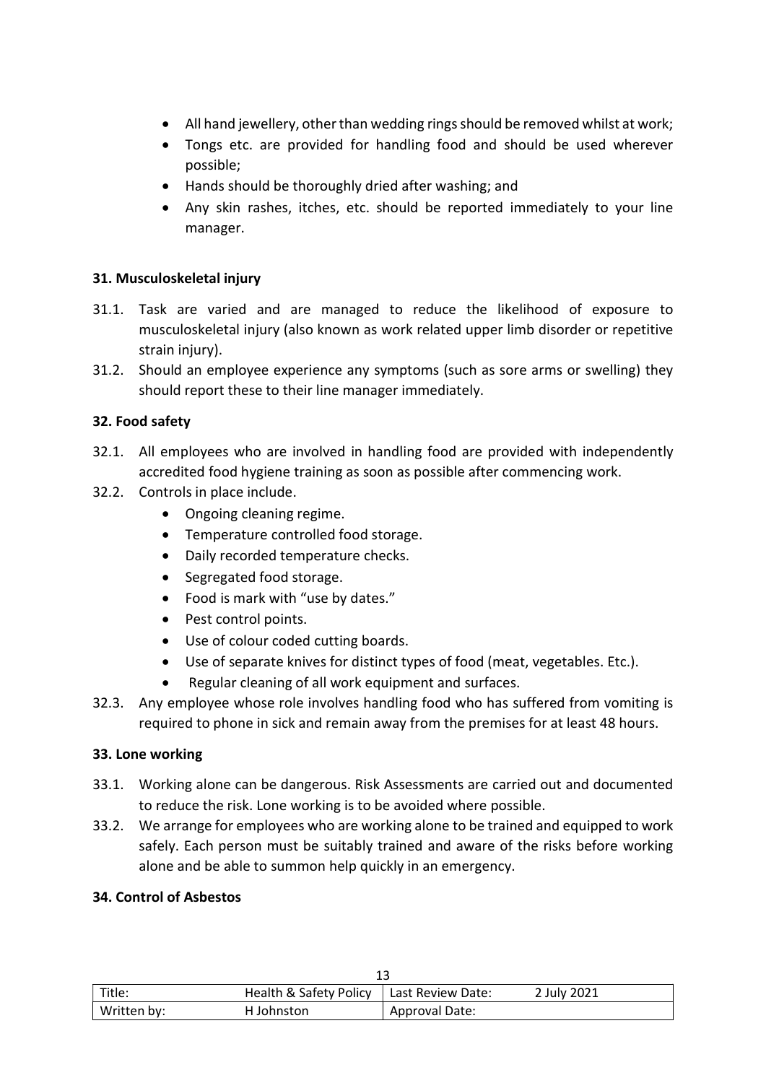- All hand jewellery, other than wedding rings should be removed whilst at work;
- Tongs etc. are provided for handling food and should be used wherever possible;
- Hands should be thoroughly dried after washing; and
- Any skin rashes, itches, etc. should be reported immediately to your line manager.

#### 31. Musculoskeletal injury

- 31.1. Task are varied and are managed to reduce the likelihood of exposure to musculoskeletal injury (also known as work related upper limb disorder or repetitive strain injury).
- 31.2. Should an employee experience any symptoms (such as sore arms or swelling) they should report these to their line manager immediately.

## 32. Food safety

- 32.1. All employees who are involved in handling food are provided with independently accredited food hygiene training as soon as possible after commencing work.
- 32.2. Controls in place include.
	- Ongoing cleaning regime.
	- Temperature controlled food storage.
	- Daily recorded temperature checks.
	- Segregated food storage.
	- Food is mark with "use by dates."
	- Pest control points.
	- Use of colour coded cutting boards.
	- Use of separate knives for distinct types of food (meat, vegetables. Etc.).
	- Regular cleaning of all work equipment and surfaces.
- 32.3. Any employee whose role involves handling food who has suffered from vomiting is required to phone in sick and remain away from the premises for at least 48 hours.

#### 33. Lone working

- 33.1. Working alone can be dangerous. Risk Assessments are carried out and documented to reduce the risk. Lone working is to be avoided where possible.
- 33.2. We arrange for employees who are working alone to be trained and equipped to work safely. Each person must be suitably trained and aware of the risks before working alone and be able to summon help quickly in an emergency.

#### 34. Control of Asbestos

| Title:      | Health & Safety Policy   Last Review Date: |                | 2 July 2021 |
|-------------|--------------------------------------------|----------------|-------------|
| Written by: | H Johnston                                 | Approval Date: |             |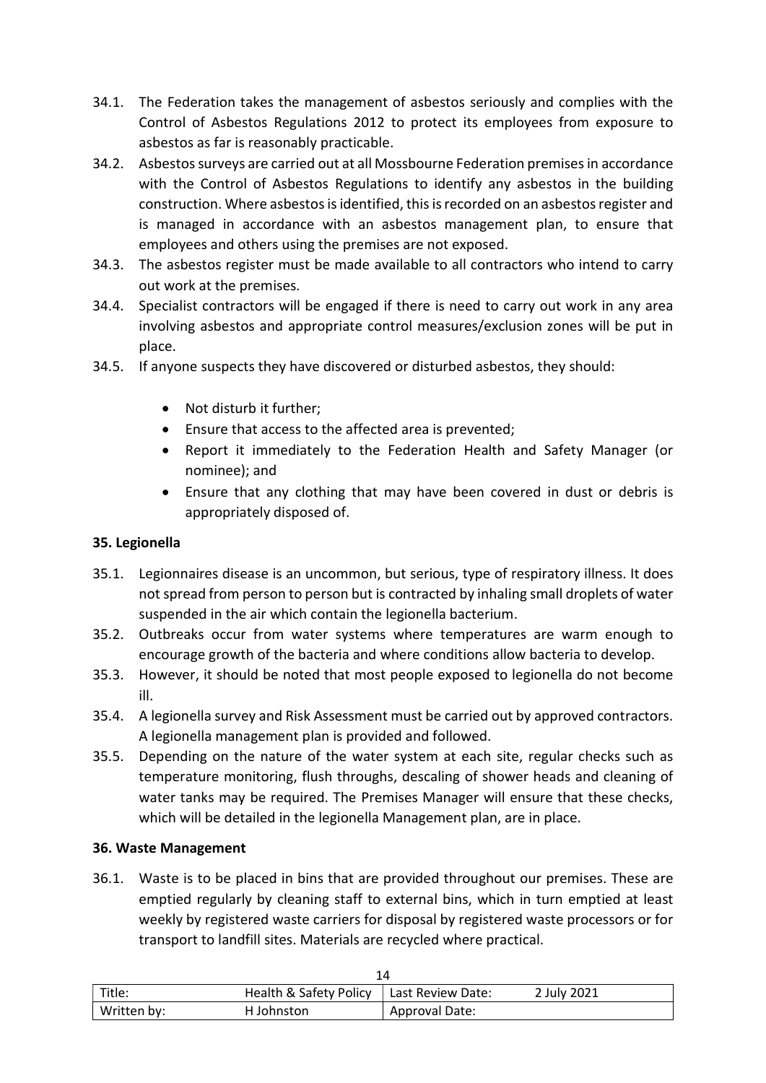- 34.1. The Federation takes the management of asbestos seriously and complies with the Control of Asbestos Regulations 2012 to protect its employees from exposure to asbestos as far is reasonably practicable.
- 34.2. Asbestos surveys are carried out at all Mossbourne Federation premises in accordance with the Control of Asbestos Regulations to identify any asbestos in the building construction. Where asbestos is identified, this is recorded on an asbestos register and is managed in accordance with an asbestos management plan, to ensure that employees and others using the premises are not exposed.
- 34.3. The asbestos register must be made available to all contractors who intend to carry out work at the premises.
- 34.4. Specialist contractors will be engaged if there is need to carry out work in any area involving asbestos and appropriate control measures/exclusion zones will be put in place.
- 34.5. If anyone suspects they have discovered or disturbed asbestos, they should:
	- Not disturb it further:
	- Ensure that access to the affected area is prevented;
	- Report it immediately to the Federation Health and Safety Manager (or nominee); and
	- Ensure that any clothing that may have been covered in dust or debris is appropriately disposed of.

#### 35. Legionella

- 35.1. Legionnaires disease is an uncommon, but serious, type of respiratory illness. It does not spread from person to person but is contracted by inhaling small droplets of water suspended in the air which contain the legionella bacterium.
- 35.2. Outbreaks occur from water systems where temperatures are warm enough to encourage growth of the bacteria and where conditions allow bacteria to develop.
- 35.3. However, it should be noted that most people exposed to legionella do not become ill.
- 35.4. A legionella survey and Risk Assessment must be carried out by approved contractors. A legionella management plan is provided and followed.
- 35.5. Depending on the nature of the water system at each site, regular checks such as temperature monitoring, flush throughs, descaling of shower heads and cleaning of water tanks may be required. The Premises Manager will ensure that these checks, which will be detailed in the legionella Management plan, are in place.

#### 36. Waste Management

36.1. Waste is to be placed in bins that are provided throughout our premises. These are emptied regularly by cleaning staff to external bins, which in turn emptied at least weekly by registered waste carriers for disposal by registered waste processors or for transport to landfill sites. Materials are recycled where practical.

| Title:      | Health & Safety Policy   Last Review Date: |                | 2 July 2021 |
|-------------|--------------------------------------------|----------------|-------------|
| Written by: | H Johnston                                 | Approval Date: |             |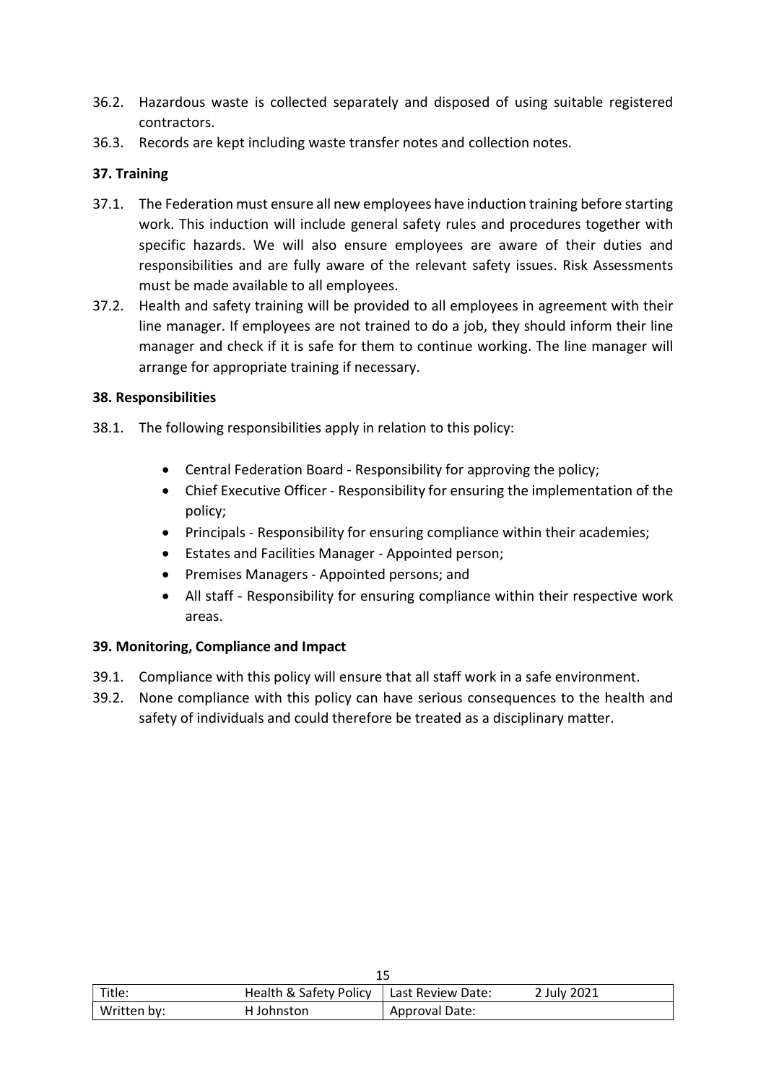- 36.2. Hazardous waste is collected separately and disposed of using suitable registered contractors.
- 36.3. Records are kept including waste transfer notes and collection notes.

## 37. Training

- 37.1. The Federation must ensure all new employees have induction training before starting work. This induction will include general safety rules and procedures together with specific hazards. We will also ensure employees are aware of their duties and responsibilities and are fully aware of the relevant safety issues. Risk Assessments must be made available to all employees.
- 37.2. Health and safety training will be provided to all employees in agreement with their line manager. If employees are not trained to do a job, they should inform their line manager and check if it is safe for them to continue working. The line manager will arrange for appropriate training if necessary.

#### 38. Responsibilities

- 38.1. The following responsibilities apply in relation to this policy:
	- Central Federation Board Responsibility for approving the policy;
	- Chief Executive Officer Responsibility for ensuring the implementation of the policy;
	- Principals Responsibility for ensuring compliance within their academies;
	- Estates and Facilities Manager Appointed person;
	- **•** Premises Managers Appointed persons; and
	- All staff Responsibility for ensuring compliance within their respective work areas.

#### 39. Monitoring, Compliance and Impact

- 39.1. Compliance with this policy will ensure that all staff work in a safe environment.
- 39.2. None compliance with this policy can have serious consequences to the health and safety of individuals and could therefore be treated as a disciplinary matter.

| Title:      | Health & Safety Policy | Last Review Date: | 2 July 2021 |
|-------------|------------------------|-------------------|-------------|
| Written by: | H Johnston             | Approval Date:    |             |